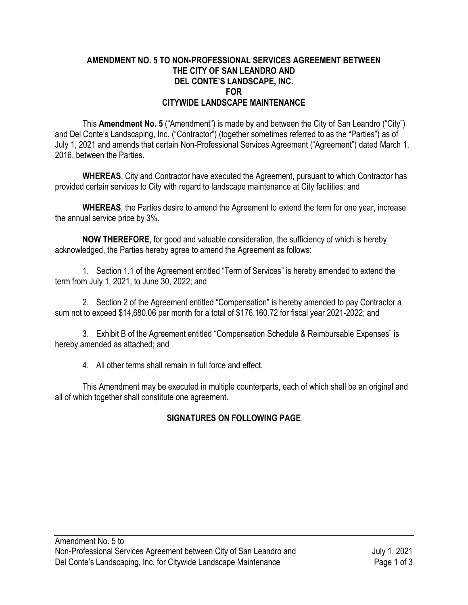## **AMENDMENT NO. 5 TO NON-PROFESSIONAL SERVICES AGREEMENT BETWEEN THE CITY OF SAN LEANDRO AND DEL CONTE'S LANDSCAPE, INC. FOR CITYWIDE LANDSCAPE MAINTENANCE**

This **Amendment No. 5** ("Amendment") is made by and between the City of San Leandro ("City") and Del Conte's Landscaping, Inc. ("Contractor") (together sometimes referred to as the "Parties") as of July 1, 2021 and amends that certain Non-Professional Services Agreement ("Agreement") dated March 1, 2016, between the Parties.

**WHEREAS**, City and Contractor have executed the Agreement, pursuant to which Contractor has provided certain services to City with regard to landscape maintenance at City facilities; and

**WHEREAS**, the Parties desire to amend the Agreement to extend the term for one year, increase the annual service price by 3%.

**NOW THEREFORE**, for good and valuable consideration, the sufficiency of which is hereby acknowledged, the Parties hereby agree to amend the Agreement as follows:

1. Section 1.1 of the Agreement entitled "Term of Services" is hereby amended to extend the term from July 1, 2021, to June 30, 2022; and

2. Section 2 of the Agreement entitled "Compensation" is hereby amended to pay Contractor a sum not to exceed \$14,680.06 per month for a total of \$176,160.72 for fiscal year 2021-2022; and

3. Exhibit B of the Agreement entitled "Compensation Schedule & Reimbursable Expenses" is hereby amended as attached; and

4. All other terms shall remain in full force and effect.

This Amendment may be executed in multiple counterparts, each of which shall be an original and all of which together shall constitute one agreement.

## **SIGNATURES ON FOLLOWING PAGE**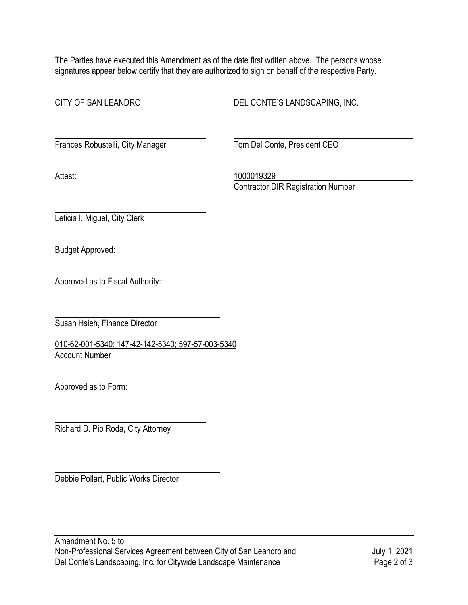The Parties have executed this Amendment as of the date first written above. The persons whose signatures appear below certify that they are authorized to sign on behalf of the respective Party.

CITY OF SAN LEANDRO DEL CONTE'S LANDSCAPING, INC.

Frances Robustelli, City Manager Tom Del Conte, President CEO

Attest: 1000019329 Contractor DIR Registration Number

Leticia I. Miguel, City Clerk

Budget Approved:

Approved as to Fiscal Authority:

Susan Hsieh, Finance Director

010-62-001-5340; 147-42-142-5340; 597-57-003-5340 Account Number

Approved as to Form:

Richard D. Pio Roda, City Attorney

Debbie Pollart, Public Works Director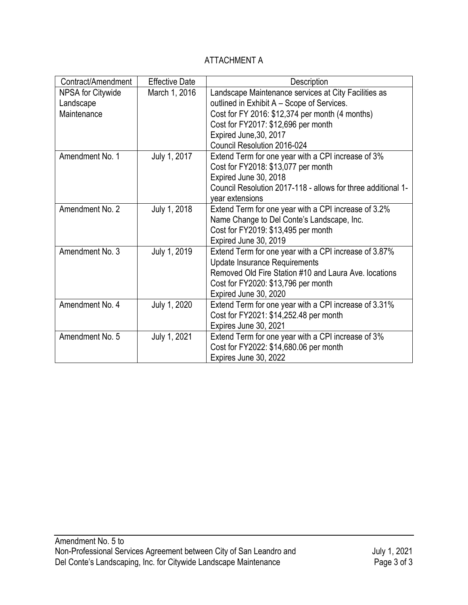## ATTACHMENT A

| Contract/Amendment       | <b>Effective Date</b> | Description                                                  |
|--------------------------|-----------------------|--------------------------------------------------------------|
| <b>NPSA for Citywide</b> | March 1, 2016         | Landscape Maintenance services at City Facilities as         |
| Landscape                |                       | outlined in Exhibit A - Scope of Services.                   |
| Maintenance              |                       | Cost for FY 2016: \$12,374 per month (4 months)              |
|                          |                       | Cost for FY2017: \$12,696 per month                          |
|                          |                       | Expired June, 30, 2017                                       |
|                          |                       | Council Resolution 2016-024                                  |
| Amendment No. 1          | July 1, 2017          | Extend Term for one year with a CPI increase of 3%           |
|                          |                       | Cost for FY2018: \$13,077 per month                          |
|                          |                       | Expired June 30, 2018                                        |
|                          |                       | Council Resolution 2017-118 - allows for three additional 1- |
|                          |                       | year extensions                                              |
| Amendment No. 2          | July 1, 2018          | Extend Term for one year with a CPI increase of 3.2%         |
|                          |                       | Name Change to Del Conte's Landscape, Inc.                   |
|                          |                       | Cost for FY2019: \$13,495 per month                          |
|                          |                       | Expired June 30, 2019                                        |
| Amendment No. 3          | July 1, 2019          | Extend Term for one year with a CPI increase of 3.87%        |
|                          |                       | <b>Update Insurance Requirements</b>                         |
|                          |                       | Removed Old Fire Station #10 and Laura Ave. locations        |
|                          |                       | Cost for FY2020: \$13,796 per month                          |
|                          |                       | Expired June 30, 2020                                        |
| Amendment No. 4          | July 1, 2020          | Extend Term for one year with a CPI increase of 3.31%        |
|                          |                       | Cost for FY2021: \$14,252.48 per month                       |
|                          |                       | Expires June 30, 2021                                        |
| Amendment No. 5          | July 1, 2021          | Extend Term for one year with a CPI increase of 3%           |
|                          |                       | Cost for FY2022: \$14,680.06 per month                       |
|                          |                       | Expires June 30, 2022                                        |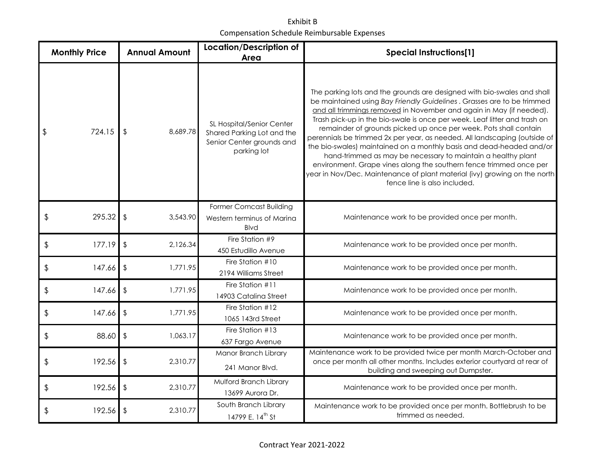Exhibit B Compensation Schedule Reimbursable Expenses

| <b>Monthly Price</b> |        | <b>Annual Amount</b>                | <b>Location/Description of</b><br>Area                                                              | <b>Special Instructions[1]</b>                                                                                                                                                                                                                                                                                                                                                                                                                                                                                                                                                                                                                                                                                                                                                    |
|----------------------|--------|-------------------------------------|-----------------------------------------------------------------------------------------------------|-----------------------------------------------------------------------------------------------------------------------------------------------------------------------------------------------------------------------------------------------------------------------------------------------------------------------------------------------------------------------------------------------------------------------------------------------------------------------------------------------------------------------------------------------------------------------------------------------------------------------------------------------------------------------------------------------------------------------------------------------------------------------------------|
| \$                   | 724.15 | 8,689.78                            | SL Hospital/Senior Center<br>Shared Parking Lot and the<br>Senior Center grounds and<br>parking lot | The parking lots and the grounds are designed with bio-swales and shall<br>be maintained using Bay Friendly Guidelines. Grasses are to be trimmed<br>and all trimmings removed in November and again in May (if needed).<br>Trash pick-up in the bio-swale is once per week. Leaf litter and trash on<br>remainder of grounds picked up once per week. Pots shall contain<br>perennials be trimmed 2x per year, as needed. All landscaping (outside of<br>the bio-swales) maintained on a monthly basis and dead-headed and/or<br>hand-trimmed as may be necessary to maintain a healthy plant<br>environment. Grape vines along the southern fence trimmed once per<br>year in Nov/Dec. Maintenance of plant material (ivy) growing on the north<br>fence line is also included. |
| \$                   | 295.32 | $\sqrt[6]{2}$<br>3,543.90           | <b>Former Comcast Building</b><br>Western terminus of Marina<br><b>Blvd</b>                         | Maintenance work to be provided once per month.                                                                                                                                                                                                                                                                                                                                                                                                                                                                                                                                                                                                                                                                                                                                   |
| $\frac{1}{2}$        | 177.19 | 2,126.34<br>$\sqrt[6]{2}$           | Fire Station #9<br>450 Estudillo Avenue                                                             | Maintenance work to be provided once per month.                                                                                                                                                                                                                                                                                                                                                                                                                                                                                                                                                                                                                                                                                                                                   |
| \$                   | 147.66 | $\sqrt[6]{\frac{1}{2}}$<br>1,771.95 | Fire Station #10<br>2194 Williams Street                                                            | Maintenance work to be provided once per month.                                                                                                                                                                                                                                                                                                                                                                                                                                                                                                                                                                                                                                                                                                                                   |
| \$                   | 147.66 | $\sqrt[6]{\frac{1}{2}}$<br>1,771.95 | Fire Station #11<br>14903 Catalina Street                                                           | Maintenance work to be provided once per month.                                                                                                                                                                                                                                                                                                                                                                                                                                                                                                                                                                                                                                                                                                                                   |
| \$                   | 147.66 | $\sqrt{2}$<br>1,771.95              | Fire Station #12<br>1065 143rd Street                                                               | Maintenance work to be provided once per month.                                                                                                                                                                                                                                                                                                                                                                                                                                                                                                                                                                                                                                                                                                                                   |
| \$                   | 88.60  | $\sqrt[6]{\frac{1}{2}}$<br>1,063.17 | Fire Station #13<br>637 Fargo Avenue                                                                | Maintenance work to be provided once per month.                                                                                                                                                                                                                                                                                                                                                                                                                                                                                                                                                                                                                                                                                                                                   |
| \$                   | 192.56 | $\sqrt[6]{2}$<br>2,310.77           | Manor Branch Library<br>241 Manor Blvd.                                                             | Maintenance work to be provided twice per month March-October and<br>once per month all other months. Includes exterior courtyard at rear of<br>building and sweeping out Dumpster.                                                                                                                                                                                                                                                                                                                                                                                                                                                                                                                                                                                               |
| \$                   | 192.56 | $\sqrt[4]{\frac{1}{2}}$<br>2,310.77 | Mulford Branch Library<br>13699 Aurora Dr.                                                          | Maintenance work to be provided once per month.                                                                                                                                                                                                                                                                                                                                                                                                                                                                                                                                                                                                                                                                                                                                   |
| \$                   | 192.56 | \$<br>2,310.77                      | South Branch Library<br>14799 E. 14 <sup>th</sup> St                                                | Maintenance work to be provided once per month. Bottlebrush to be<br>trimmed as needed.                                                                                                                                                                                                                                                                                                                                                                                                                                                                                                                                                                                                                                                                                           |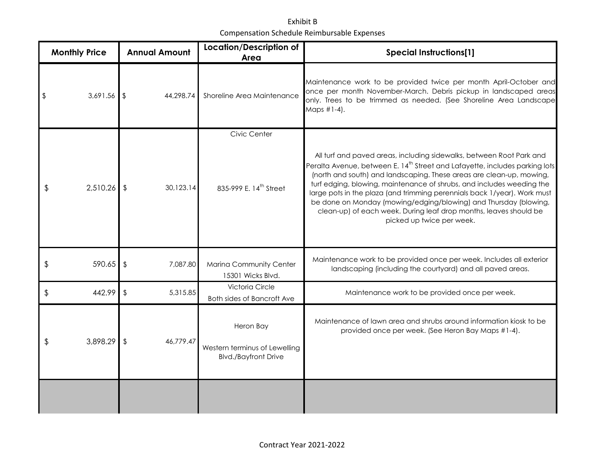Exhibit B Compensation Schedule Reimbursable Expenses

| <b>Monthly Price</b> |             | <b>Annual Amount</b>      | <b>Location/Description of</b><br>Area                                    | <b>Special Instructions[1]</b>                                                                                                                                                                                                                                                                                                                                                                                                                                                                                                                                     |
|----------------------|-------------|---------------------------|---------------------------------------------------------------------------|--------------------------------------------------------------------------------------------------------------------------------------------------------------------------------------------------------------------------------------------------------------------------------------------------------------------------------------------------------------------------------------------------------------------------------------------------------------------------------------------------------------------------------------------------------------------|
|                      | 3,691.56    | <b>\$</b><br>44,298.74    | Shoreline Area Maintenance                                                | Maintenance work to be provided twice per month April-October and<br>once per month November-March. Debris pickup in landscaped areas<br>only. Trees to be trimmed as needed. (See Shoreline Area Landscape<br>Maps #1-4).                                                                                                                                                                                                                                                                                                                                         |
|                      |             |                           | Civic Center                                                              |                                                                                                                                                                                                                                                                                                                                                                                                                                                                                                                                                                    |
| \$                   | 2,510.26    | 30,123.14                 | 835-999 E. 14th Street                                                    | All turf and paved areas, including sidewalks, between Root Park and<br>Peralta Avenue, between E. 14 <sup>th</sup> Street and Lafayette, includes parking lots<br>(north and south) and landscaping. These areas are clean-up, mowing,<br>turf edging, blowing, maintenance of shrubs, and includes weeding the<br>large pots in the plaza (and trimming perennials back 1/year). Work must<br>be done on Monday (mowing/edging/blowing) and Thursday (blowing,<br>clean-up) of each week. During leaf drop months, leaves should be<br>picked up twice per week. |
| \$                   | $590.65$ \$ | 7,087.80                  | Marina Community Center<br>15301 Wicks Blvd.                              | Maintenance work to be provided once per week. Includes all exterior<br>landscaping (including the courtyard) and all paved areas.                                                                                                                                                                                                                                                                                                                                                                                                                                 |
| \$                   | 442.99      | 5,315.85<br>$\sqrt[6]{2}$ | Victoria Circle<br>Both sides of Bancroft Ave                             | Maintenance work to be provided once per week.                                                                                                                                                                                                                                                                                                                                                                                                                                                                                                                     |
| \$                   | 3,898.29    | 46,779.47                 | Heron Bay<br>Western terminus of Lewelling<br><b>Blvd./Bayfront Drive</b> | Maintenance of lawn area and shrubs around information kiosk to be<br>provided once per week. (See Heron Bay Maps #1-4).                                                                                                                                                                                                                                                                                                                                                                                                                                           |
|                      |             |                           |                                                                           |                                                                                                                                                                                                                                                                                                                                                                                                                                                                                                                                                                    |